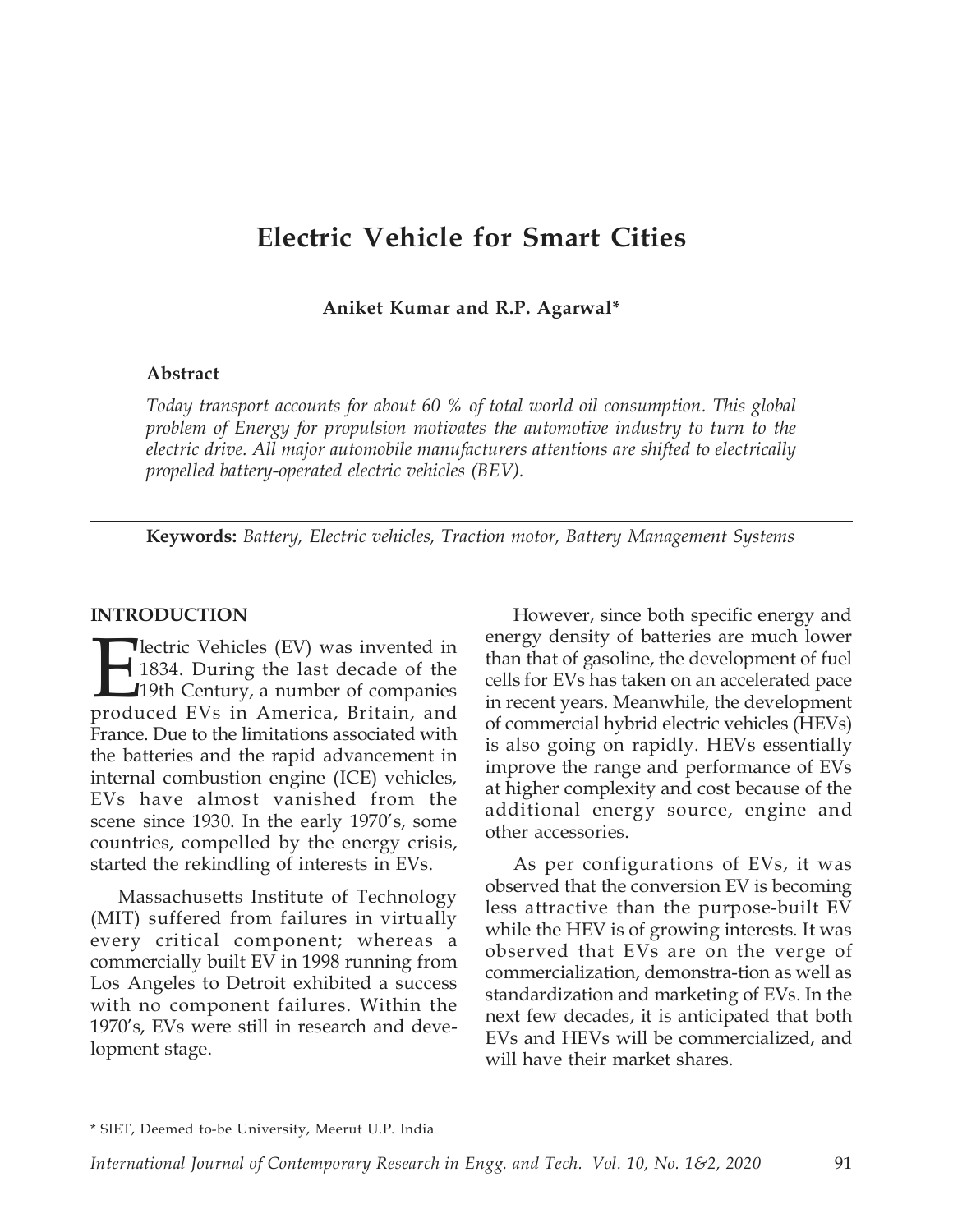# Electric Vehicle for Smart Cities

Aniket Kumar and R.P. Agarwal\*

#### Abstract

Today transport accounts for about 60 % of total world oil consumption. This global problem of Energy for propulsion motivates the automotive industry to turn to the electric drive. All major automobile manufacturers attentions are shifted to electrically propelled battery-operated electric vehicles (BEV).

Keywords: Battery, Electric vehicles, Traction motor, Battery Management Systems

#### INTRODUCTION

**Exercic Vehicles (EV) was invented in** 1834. During the last decade of the 19th Century, a number of companies produced EVs in America, Britain, and 1834. During the last decade of the 19th Century, a number of companies produced EVs in America, Britain, and France. Due to the limitations associated with the batteries and the rapid advancement in internal combustion engine (ICE) vehicles, EVs have almost vanished from the scene since 1930. In the early 1970's, some countries, compelled by the energy crisis, started the rekindling of interests in EVs.

Massachusetts Institute of Technology (MIT) suffered from failures in virtually every critical component; whereas a commercially built EV in 1998 running from Los Angeles to Detroit exhibited a success with no component failures. Within the 1970's, EVs were still in research and development stage.

However, since both specific energy and energy density of batteries are much lower than that of gasoline, the development of fuel cells for EVs has taken on an accelerated pace in recent years. Meanwhile, the development of commercial hybrid electric vehicles (HEVs) is also going on rapidly. HEVs essentially improve the range and performance of EVs at higher complexity and cost because of the additional energy source, engine and other accessories.

As per configurations of EVs, it was observed that the conversion EV is becoming less attractive than the purpose-built EV while the HEV is of growing interests. It was observed that EVs are on the verge of commercialization, demonstra-tion as well as standardization and marketing of EVs. In the next few decades, it is anticipated that both EVs and HEVs will be commercialized, and will have their market shares.

<sup>\*</sup> SIET, Deemed to-be University, Meerut U.P. India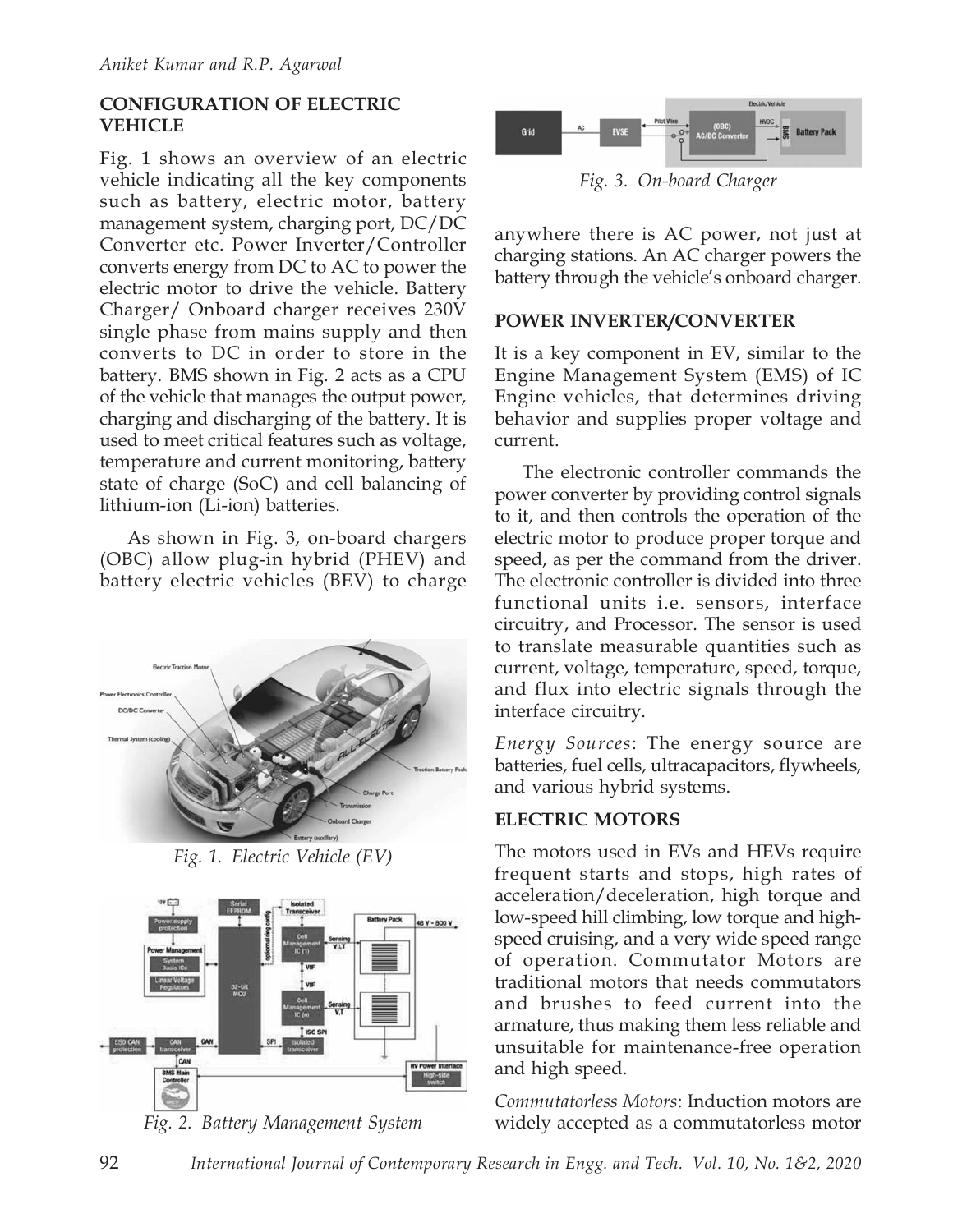## CONFIGURATION OF ELECTRIC VEHICLE

Fig. 1 shows an overview of an electric vehicle indicating all the key components such as battery, electric motor, battery management system, charging port, DC/DC Converter etc. Power Inverter/Controller converts energy from DC to AC to power the electric motor to drive the vehicle. Battery Charger/ Onboard charger receives 230V single phase from mains supply and then converts to DC in order to store in the battery. BMS shown in Fig. 2 acts as a CPU of the vehicle that manages the output power, charging and discharging of the battery. It is used to meet critical features such as voltage, temperature and current monitoring, battery state of charge (SoC) and cell balancing of lithium-ion (Li-ion) batteries.

As shown in Fig. 3, on-board chargers (OBC) allow plug-in hybrid (PHEV) and battery electric vehicles (BEV) to charge



Fig. 1. Electric Vehicle (EV)







Fig. 3. On-board Charger

anywhere there is AC power, not just at charging stations. An AC charger powers the battery through the vehicle's onboard charger.

# POWER INVERTER/CONVERTER

It is a key component in EV, similar to the Engine Management System (EMS) of IC Engine vehicles, that determines driving behavior and supplies proper voltage and current.

The electronic controller commands the power converter by providing control signals to it, and then controls the operation of the electric motor to produce proper torque and speed, as per the command from the driver. The electronic controller is divided into three functional units i.e. sensors, interface circuitry, and Processor. The sensor is used to translate measurable quantities such as current, voltage, temperature, speed, torque, and flux into electric signals through the interface circuitry.

Energy Sources: The energy source are batteries, fuel cells, ultracapacitors, flywheels, and various hybrid systems.

## ELECTRIC MOTORS

The motors used in EVs and HEVs require frequent starts and stops, high rates of acceleration/deceleration, high torque and low-speed hill climbing, low torque and highspeed cruising, and a very wide speed range of operation. Commutator Motors are traditional motors that needs commutators and brushes to feed current into the armature, thus making them less reliable and unsuitable for maintenance-free operation and high speed.

Commutatorless Motors: Induction motors are widely accepted as a commutatorless motor